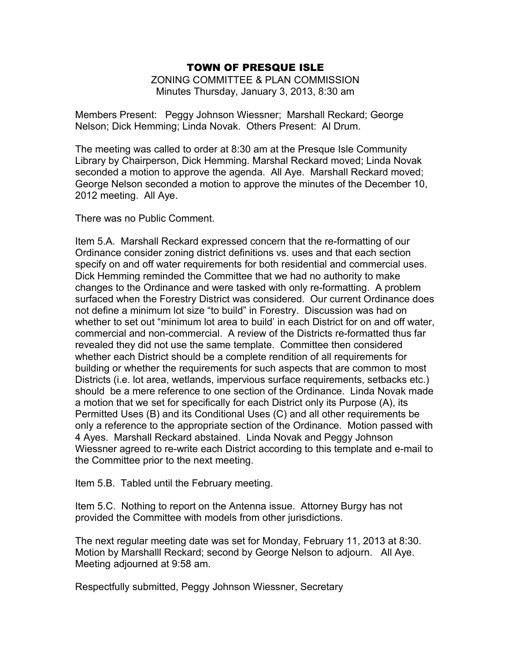ZONING COMMITTEE & PLAN COMMISSION Minutes Thursday, January 3, 2013, 8:30 am

Members Present: Peggy Johnson Wiessner; Marshall Reckard; George Nelson; Dick Hemming; Linda Novak. Others Present: Al Drum.

The meeting was called to order at 8:30 am at the Presque Isle Community Library by Chairperson, Dick Hemming. Marshal Reckard moved; Linda Novak seconded a motion to approve the agenda. All Aye. Marshall Reckard moved; George Nelson seconded a motion to approve the minutes of the December 10, 2012 meeting. All Aye.

There was no Public Comment.

Item 5.A. Marshall Reckard expressed concern that the re-formatting of our Ordinance consider zoning district definitions vs. uses and that each section specify on and off water requirements for both residential and commercial uses. Dick Hemming reminded the Committee that we had no authority to make changes to the Ordinance and were tasked with only re-formatting. A problem surfaced when the Forestry District was considered. Our current Ordinance does not define a minimum lot size "to build" in Forestry. Discussion was had on whether to set out "minimum lot area to build' in each District for on and off water, commercial and non-commercial. A review of the Districts re-formatted thus far revealed they did not use the same template. Committee then considered whether each District should be a complete rendition of all requirements for building or whether the requirements for such aspects that are common to most Districts (i.e. lot area, wetlands, impervious surface requirements, setbacks etc.) should be a mere reference to one section of the Ordinance. Linda Novak made a motion that we set for specifically for each District only its Purpose (A), its Permitted Uses (B) and its Conditional Uses (C) and all other requirements be only a reference to the appropriate section of the Ordinance. Motion passed with 4 Ayes. Marshall Reckard abstained. Linda Novak and Peggy Johnson Wiessner agreed to re-write each District according to this template and e-mail to the Committee prior to the next meeting.

Item 5.B. Tabled until the February meeting.

Item 5.C. Nothing to report on the Antenna issue. Attorney Burgy has not provided the Committee with models from other jurisdictions.

The next regular meeting date was set for Monday, February 11, 2013 at 8:30. Motion by Marshalll Reckard; second by George Nelson to adjourn. All Aye. Meeting adjourned at 9:58 am.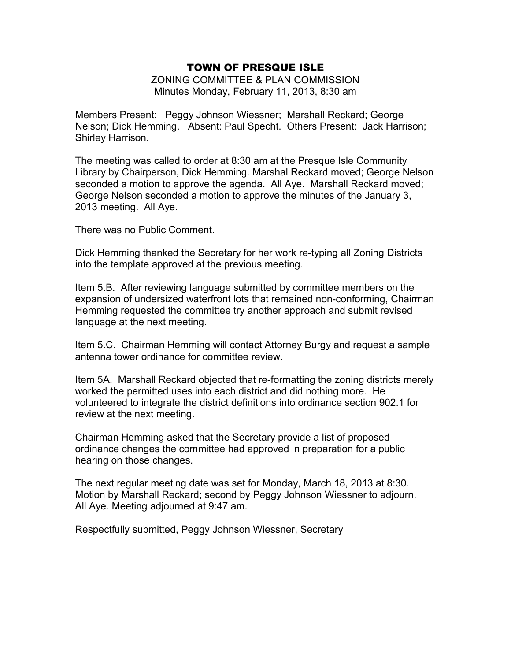ZONING COMMITTEE & PLAN COMMISSION Minutes Monday, February 11, 2013, 8:30 am

Members Present: Peggy Johnson Wiessner; Marshall Reckard; George Nelson; Dick Hemming. Absent: Paul Specht. Others Present: Jack Harrison; Shirley Harrison.

The meeting was called to order at 8:30 am at the Presque Isle Community Library by Chairperson, Dick Hemming. Marshal Reckard moved; George Nelson seconded a motion to approve the agenda. All Aye. Marshall Reckard moved; George Nelson seconded a motion to approve the minutes of the January 3, 2013 meeting. All Aye.

There was no Public Comment.

Dick Hemming thanked the Secretary for her work re-typing all Zoning Districts into the template approved at the previous meeting.

Item 5.B. After reviewing language submitted by committee members on the expansion of undersized waterfront lots that remained non-conforming, Chairman Hemming requested the committee try another approach and submit revised language at the next meeting.

Item 5.C. Chairman Hemming will contact Attorney Burgy and request a sample antenna tower ordinance for committee review.

Item 5A. Marshall Reckard objected that re-formatting the zoning districts merely worked the permitted uses into each district and did nothing more. He volunteered to integrate the district definitions into ordinance section 902.1 for review at the next meeting.

Chairman Hemming asked that the Secretary provide a list of proposed ordinance changes the committee had approved in preparation for a public hearing on those changes.

The next regular meeting date was set for Monday, March 18, 2013 at 8:30. Motion by Marshall Reckard; second by Peggy Johnson Wiessner to adjourn. All Aye. Meeting adjourned at 9:47 am.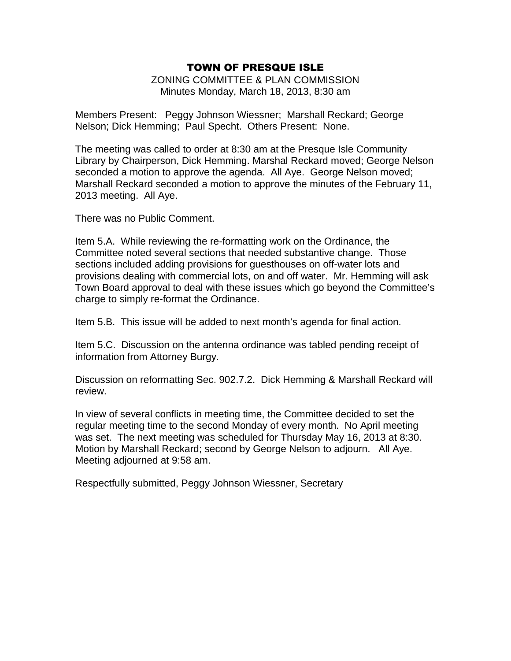ZONING COMMITTEE & PLAN COMMISSION Minutes Monday, March 18, 2013, 8:30 am

Members Present: Peggy Johnson Wiessner; Marshall Reckard; George Nelson; Dick Hemming; Paul Specht. Others Present: None.

The meeting was called to order at 8:30 am at the Presque Isle Community Library by Chairperson, Dick Hemming. Marshal Reckard moved; George Nelson seconded a motion to approve the agenda. All Aye. George Nelson moved; Marshall Reckard seconded a motion to approve the minutes of the February 11, 2013 meeting. All Aye.

There was no Public Comment.

Item 5.A. While reviewing the re-formatting work on the Ordinance, the Committee noted several sections that needed substantive change. Those sections included adding provisions for guesthouses on off-water lots and provisions dealing with commercial lots, on and off water. Mr. Hemming will ask Town Board approval to deal with these issues which go beyond the Committee's charge to simply re-format the Ordinance.

Item 5.B. This issue will be added to next month's agenda for final action.

Item 5.C. Discussion on the antenna ordinance was tabled pending receipt of information from Attorney Burgy.

Discussion on reformatting Sec. 902.7.2. Dick Hemming & Marshall Reckard will review.

In view of several conflicts in meeting time, the Committee decided to set the regular meeting time to the second Monday of every month. No April meeting was set. The next meeting was scheduled for Thursday May 16, 2013 at 8:30. Motion by Marshall Reckard; second by George Nelson to adjourn. All Aye. Meeting adjourned at 9:58 am.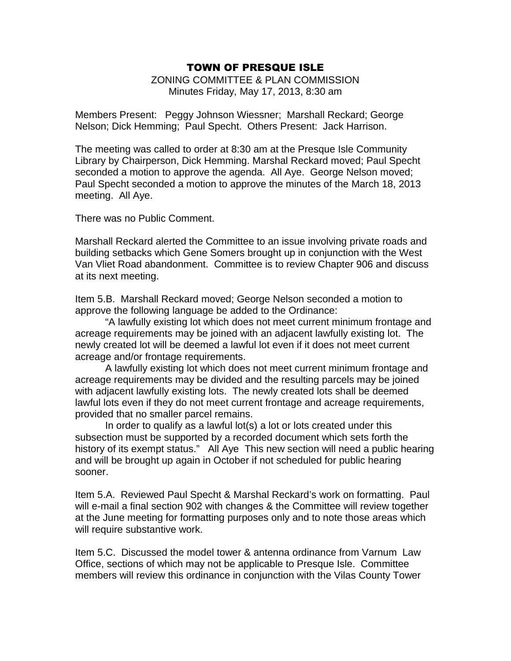ZONING COMMITTEE & PLAN COMMISSION Minutes Friday, May 17, 2013, 8:30 am

Members Present: Peggy Johnson Wiessner; Marshall Reckard; George Nelson; Dick Hemming; Paul Specht. Others Present: Jack Harrison.

The meeting was called to order at 8:30 am at the Presque Isle Community Library by Chairperson, Dick Hemming. Marshal Reckard moved; Paul Specht seconded a motion to approve the agenda. All Aye. George Nelson moved; Paul Specht seconded a motion to approve the minutes of the March 18, 2013 meeting. All Aye.

There was no Public Comment.

Marshall Reckard alerted the Committee to an issue involving private roads and building setbacks which Gene Somers brought up in conjunction with the West Van Vliet Road abandonment. Committee is to review Chapter 906 and discuss at its next meeting.

Item 5.B. Marshall Reckard moved; George Nelson seconded a motion to approve the following language be added to the Ordinance:

"A lawfully existing lot which does not meet current minimum frontage and acreage requirements may be joined with an adjacent lawfully existing lot. The newly created lot will be deemed a lawful lot even if it does not meet current acreage and/or frontage requirements.

A lawfully existing lot which does not meet current minimum frontage and acreage requirements may be divided and the resulting parcels may be joined with adjacent lawfully existing lots. The newly created lots shall be deemed lawful lots even if they do not meet current frontage and acreage requirements, provided that no smaller parcel remains.

In order to qualify as a lawful lot(s) a lot or lots created under this subsection must be supported by a recorded document which sets forth the history of its exempt status." All Aye This new section will need a public hearing and will be brought up again in October if not scheduled for public hearing sooner.

Item 5.A. Reviewed Paul Specht & Marshal Reckard's work on formatting. Paul will e-mail a final section 902 with changes & the Committee will review together at the June meeting for formatting purposes only and to note those areas which will require substantive work.

Item 5.C. Discussed the model tower & antenna ordinance from Varnum Law Office, sections of which may not be applicable to Presque Isle. Committee members will review this ordinance in conjunction with the Vilas County Tower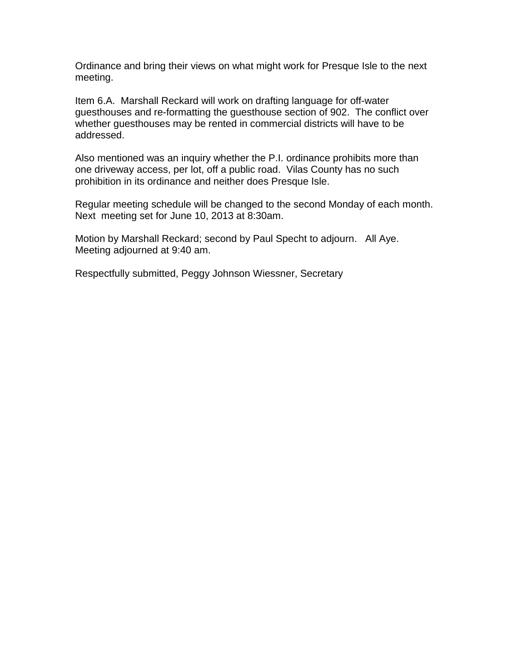Ordinance and bring their views on what might work for Presque Isle to the next meeting.

Item 6.A. Marshall Reckard will work on drafting language for off-water guesthouses and re-formatting the guesthouse section of 902. The conflict over whether guesthouses may be rented in commercial districts will have to be addressed.

Also mentioned was an inquiry whether the P.I. ordinance prohibits more than one driveway access, per lot, off a public road. Vilas County has no such prohibition in its ordinance and neither does Presque Isle.

Regular meeting schedule will be changed to the second Monday of each month. Next meeting set for June 10, 2013 at 8:30am.

Motion by Marshall Reckard; second by Paul Specht to adjourn. All Aye. Meeting adjourned at 9:40 am.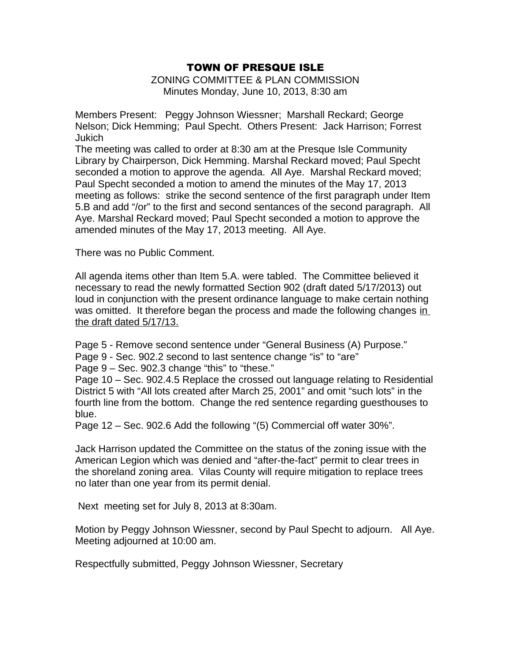ZONING COMMITTEE & PLAN COMMISSION Minutes Monday, June 10, 2013, 8:30 am

Members Present: Peggy Johnson Wiessner; Marshall Reckard; George Nelson; Dick Hemming; Paul Specht. Others Present: Jack Harrison; Forrest Jukich

The meeting was called to order at 8:30 am at the Presque Isle Community Library by Chairperson, Dick Hemming. Marshal Reckard moved; Paul Specht seconded a motion to approve the agenda. All Aye. Marshal Reckard moved; Paul Specht seconded a motion to amend the minutes of the May 17, 2013 meeting as follows: strike the second sentence of the first paragraph under Item 5.B and add "/or" to the first and second sentances of the second paragraph. All Aye. Marshal Reckard moved; Paul Specht seconded a motion to approve the amended minutes of the May 17, 2013 meeting. All Aye.

There was no Public Comment.

All agenda items other than Item 5.A. were tabled. The Committee believed it necessary to read the newly formatted Section 902 (draft dated 5/17/2013) out loud in conjunction with the present ordinance language to make certain nothing was omitted. It therefore began the process and made the following changes in the draft dated 5/17/13.

Page 5 - Remove second sentence under "General Business (A) Purpose."

Page 9 - Sec. 902.2 second to last sentence change "is" to "are"

Page 9 – Sec. 902.3 change "this" to "these."

Page 10 – Sec. 902.4.5 Replace the crossed out language relating to Residential District 5 with "All lots created after March 25, 2001" and omit "such lots" in the fourth line from the bottom. Change the red sentence regarding guesthouses to blue.

Page 12 – Sec. 902.6 Add the following "(5) Commercial off water 30%".

Jack Harrison updated the Committee on the status of the zoning issue with the American Legion which was denied and "after-the-fact" permit to clear trees in the shoreland zoning area. Vilas County will require mitigation to replace trees no later than one year from its permit denial.

Next meeting set for July 8, 2013 at 8:30am.

Motion by Peggy Johnson Wiessner, second by Paul Specht to adjourn. All Aye. Meeting adjourned at 10:00 am.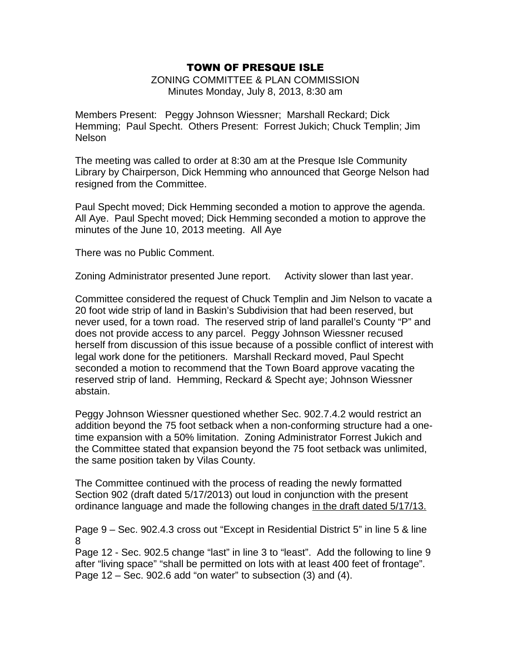ZONING COMMITTEE & PLAN COMMISSION Minutes Monday, July 8, 2013, 8:30 am

Members Present: Peggy Johnson Wiessner; Marshall Reckard; Dick Hemming; Paul Specht. Others Present: Forrest Jukich; Chuck Templin; Jim Nelson

The meeting was called to order at 8:30 am at the Presque Isle Community Library by Chairperson, Dick Hemming who announced that George Nelson had resigned from the Committee.

Paul Specht moved; Dick Hemming seconded a motion to approve the agenda. All Aye. Paul Specht moved; Dick Hemming seconded a motion to approve the minutes of the June 10, 2013 meeting. All Aye

There was no Public Comment.

Zoning Administrator presented June report. Activity slower than last year.

Committee considered the request of Chuck Templin and Jim Nelson to vacate a 20 foot wide strip of land in Baskin's Subdivision that had been reserved, but never used, for a town road. The reserved strip of land parallel's County "P" and does not provide access to any parcel. Peggy Johnson Wiessner recused herself from discussion of this issue because of a possible conflict of interest with legal work done for the petitioners. Marshall Reckard moved, Paul Specht seconded a motion to recommend that the Town Board approve vacating the reserved strip of land. Hemming, Reckard & Specht aye; Johnson Wiessner abstain.

Peggy Johnson Wiessner questioned whether Sec. 902.7.4.2 would restrict an addition beyond the 75 foot setback when a non-conforming structure had a onetime expansion with a 50% limitation. Zoning Administrator Forrest Jukich and the Committee stated that expansion beyond the 75 foot setback was unlimited, the same position taken by Vilas County.

The Committee continued with the process of reading the newly formatted Section 902 (draft dated 5/17/2013) out loud in conjunction with the present ordinance language and made the following changes in the draft dated 5/17/13.

Page 9 – Sec. 902.4.3 cross out "Except in Residential District 5" in line 5 & line 8

Page 12 - Sec. 902.5 change "last" in line 3 to "least". Add the following to line 9 after "living space" "shall be permitted on lots with at least 400 feet of frontage". Page 12 – Sec. 902.6 add "on water" to subsection (3) and (4).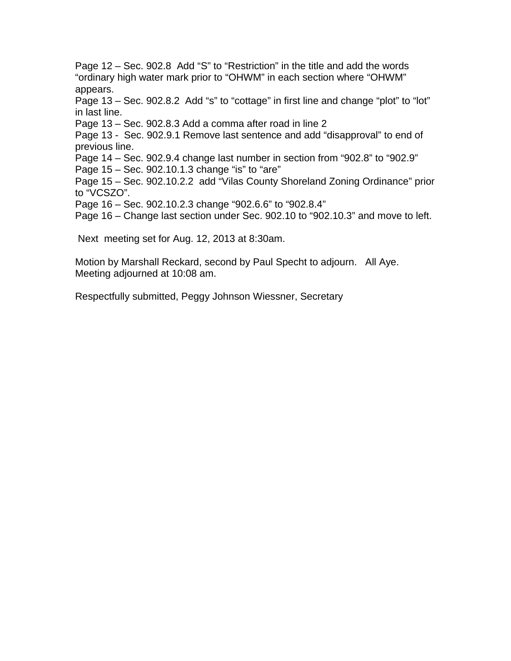Page 12 – Sec. 902.8 Add "S" to "Restriction" in the title and add the words "ordinary high water mark prior to "OHWM" in each section where "OHWM" appears.

Page 13 – Sec. 902.8.2 Add "s" to "cottage" in first line and change "plot" to "lot" in last line.

Page 13 – Sec. 902.8.3 Add a comma after road in line 2

Page 13 - Sec. 902.9.1 Remove last sentence and add "disapproval" to end of previous line.

Page 14 – Sec. 902.9.4 change last number in section from "902.8" to "902.9"

Page 15 – Sec. 902.10.1.3 change "is" to "are"

Page 15 – Sec. 902.10.2.2 add "Vilas County Shoreland Zoning Ordinance" prior to "VCSZO".

Page 16 – Sec. 902.10.2.3 change "902.6.6" to "902.8.4"

Page 16 – Change last section under Sec. 902.10 to "902.10.3" and move to left.

Next meeting set for Aug. 12, 2013 at 8:30am.

Motion by Marshall Reckard, second by Paul Specht to adjourn. All Aye. Meeting adjourned at 10:08 am.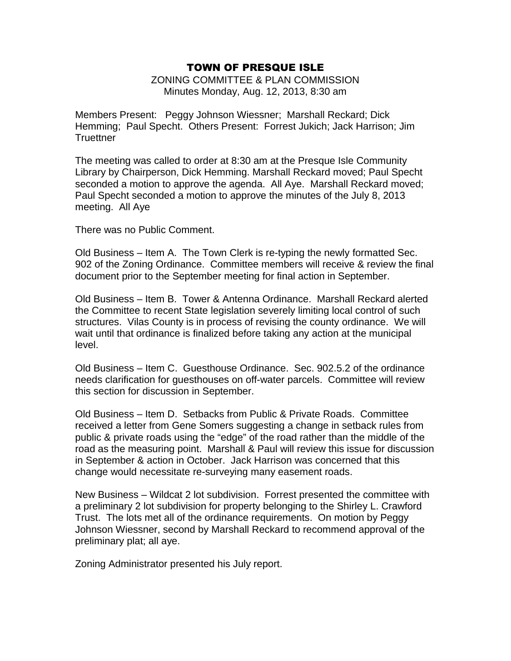ZONING COMMITTEE & PLAN COMMISSION Minutes Monday, Aug. 12, 2013, 8:30 am

Members Present: Peggy Johnson Wiessner; Marshall Reckard; Dick Hemming; Paul Specht. Others Present: Forrest Jukich; Jack Harrison; Jim **Truettner** 

The meeting was called to order at 8:30 am at the Presque Isle Community Library by Chairperson, Dick Hemming. Marshall Reckard moved; Paul Specht seconded a motion to approve the agenda. All Aye. Marshall Reckard moved; Paul Specht seconded a motion to approve the minutes of the July 8, 2013 meeting. All Aye

There was no Public Comment.

Old Business – Item A. The Town Clerk is re-typing the newly formatted Sec. 902 of the Zoning Ordinance. Committee members will receive & review the final document prior to the September meeting for final action in September.

Old Business – Item B. Tower & Antenna Ordinance. Marshall Reckard alerted the Committee to recent State legislation severely limiting local control of such structures. Vilas County is in process of revising the county ordinance. We will wait until that ordinance is finalized before taking any action at the municipal level.

Old Business – Item C. Guesthouse Ordinance. Sec. 902.5.2 of the ordinance needs clarification for guesthouses on off-water parcels. Committee will review this section for discussion in September.

Old Business – Item D. Setbacks from Public & Private Roads. Committee received a letter from Gene Somers suggesting a change in setback rules from public & private roads using the "edge" of the road rather than the middle of the road as the measuring point. Marshall & Paul will review this issue for discussion in September & action in October. Jack Harrison was concerned that this change would necessitate re-surveying many easement roads.

New Business – Wildcat 2 lot subdivision. Forrest presented the committee with a preliminary 2 lot subdivision for property belonging to the Shirley L. Crawford Trust. The lots met all of the ordinance requirements. On motion by Peggy Johnson Wiessner, second by Marshall Reckard to recommend approval of the preliminary plat; all aye.

Zoning Administrator presented his July report.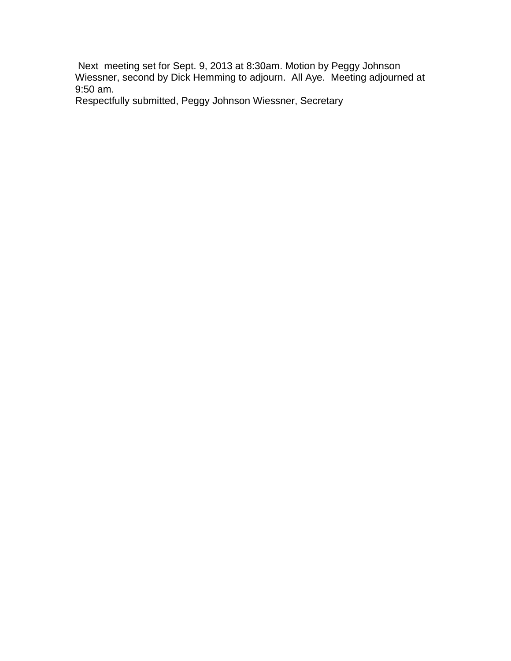Next meeting set for Sept. 9, 2013 at 8:30am. Motion by Peggy Johnson Wiessner, second by Dick Hemming to adjourn. All Aye. Meeting adjourned at 9:50 am.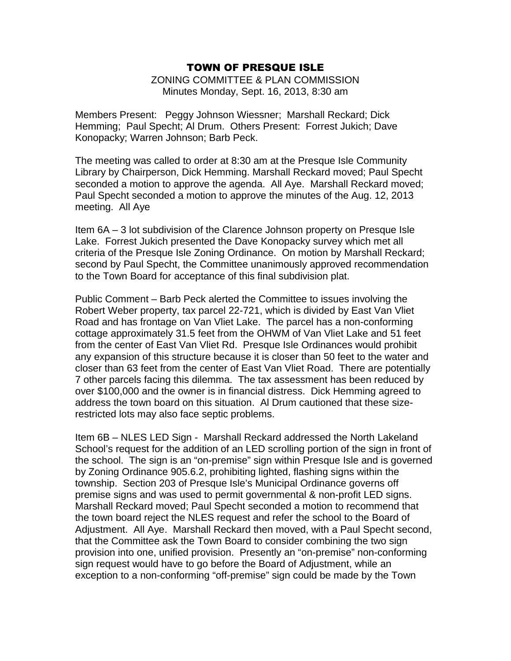ZONING COMMITTEE & PLAN COMMISSION Minutes Monday, Sept. 16, 2013, 8:30 am

Members Present: Peggy Johnson Wiessner; Marshall Reckard; Dick Hemming; Paul Specht; Al Drum. Others Present: Forrest Jukich; Dave Konopacky; Warren Johnson; Barb Peck.

The meeting was called to order at 8:30 am at the Presque Isle Community Library by Chairperson, Dick Hemming. Marshall Reckard moved; Paul Specht seconded a motion to approve the agenda. All Aye. Marshall Reckard moved; Paul Specht seconded a motion to approve the minutes of the Aug. 12, 2013 meeting. All Aye

Item 6A – 3 lot subdivision of the Clarence Johnson property on Presque Isle Lake. Forrest Jukich presented the Dave Konopacky survey which met all criteria of the Presque Isle Zoning Ordinance. On motion by Marshall Reckard; second by Paul Specht, the Committee unanimously approved recommendation to the Town Board for acceptance of this final subdivision plat.

Public Comment – Barb Peck alerted the Committee to issues involving the Robert Weber property, tax parcel 22-721, which is divided by East Van Vliet Road and has frontage on Van Vliet Lake. The parcel has a non-conforming cottage approximately 31.5 feet from the OHWM of Van Vliet Lake and 51 feet from the center of East Van Vliet Rd. Presque Isle Ordinances would prohibit any expansion of this structure because it is closer than 50 feet to the water and closer than 63 feet from the center of East Van Vliet Road. There are potentially 7 other parcels facing this dilemma. The tax assessment has been reduced by over \$100,000 and the owner is in financial distress. Dick Hemming agreed to address the town board on this situation. Al Drum cautioned that these sizerestricted lots may also face septic problems.

Item 6B – NLES LED Sign - Marshall Reckard addressed the North Lakeland School's request for the addition of an LED scrolling portion of the sign in front of the school. The sign is an "on-premise" sign within Presque Isle and is governed by Zoning Ordinance 905.6.2, prohibiting lighted, flashing signs within the township. Section 203 of Presque Isle's Municipal Ordinance governs off premise signs and was used to permit governmental & non-profit LED signs. Marshall Reckard moved; Paul Specht seconded a motion to recommend that the town board reject the NLES request and refer the school to the Board of Adjustment. All Aye. Marshall Reckard then moved, with a Paul Specht second, that the Committee ask the Town Board to consider combining the two sign provision into one, unified provision. Presently an "on-premise" non-conforming sign request would have to go before the Board of Adjustment, while an exception to a non-conforming "off-premise" sign could be made by the Town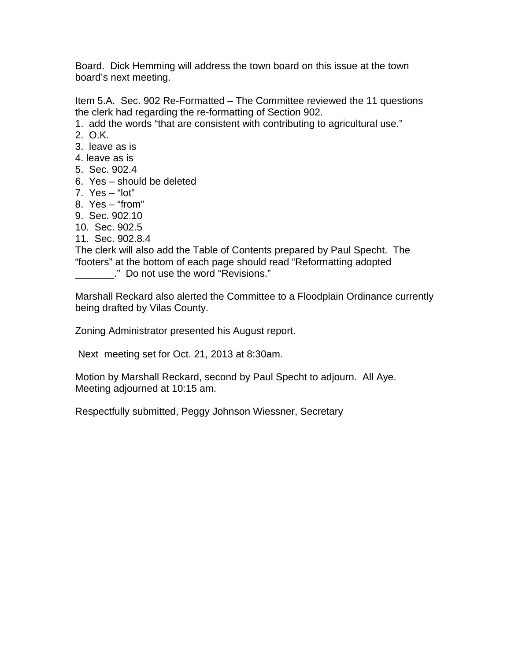Board. Dick Hemming will address the town board on this issue at the town board's next meeting.

Item 5.A. Sec. 902 Re-Formatted – The Committee reviewed the 11 questions the clerk had regarding the re-formatting of Section 902.

- 1. add the words "that are consistent with contributing to agricultural use."
- 2. O.K.
- 3. leave as is
- 4. leave as is
- 5. Sec. 902.4
- 6. Yes should be deleted
- 7. Yes "lot"
- 8. Yes "from"
- 9. Sec. 902.10
- 10. Sec. 902.5
- 11. Sec. 902.8.4

The clerk will also add the Table of Contents prepared by Paul Specht. The "footers" at the bottom of each page should read "Reformatting adopted

\_\_\_\_\_\_\_." Do not use the word "Revisions."

Marshall Reckard also alerted the Committee to a Floodplain Ordinance currently being drafted by Vilas County.

Zoning Administrator presented his August report.

Next meeting set for Oct. 21, 2013 at 8:30am.

Motion by Marshall Reckard, second by Paul Specht to adjourn. All Aye. Meeting adjourned at 10:15 am.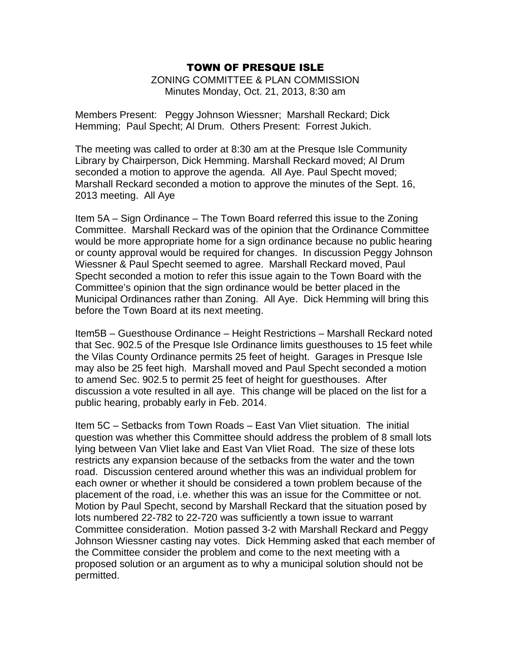ZONING COMMITTEE & PLAN COMMISSION Minutes Monday, Oct. 21, 2013, 8:30 am

Members Present: Peggy Johnson Wiessner; Marshall Reckard; Dick Hemming; Paul Specht; Al Drum. Others Present: Forrest Jukich.

The meeting was called to order at 8:30 am at the Presque Isle Community Library by Chairperson, Dick Hemming. Marshall Reckard moved; Al Drum seconded a motion to approve the agenda. All Aye. Paul Specht moved; Marshall Reckard seconded a motion to approve the minutes of the Sept. 16, 2013 meeting. All Aye

Item 5A – Sign Ordinance – The Town Board referred this issue to the Zoning Committee. Marshall Reckard was of the opinion that the Ordinance Committee would be more appropriate home for a sign ordinance because no public hearing or county approval would be required for changes. In discussion Peggy Johnson Wiessner & Paul Specht seemed to agree. Marshall Reckard moved, Paul Specht seconded a motion to refer this issue again to the Town Board with the Committee's opinion that the sign ordinance would be better placed in the Municipal Ordinances rather than Zoning. All Aye. Dick Hemming will bring this before the Town Board at its next meeting.

Item5B – Guesthouse Ordinance – Height Restrictions – Marshall Reckard noted that Sec. 902.5 of the Presque Isle Ordinance limits guesthouses to 15 feet while the Vilas County Ordinance permits 25 feet of height. Garages in Presque Isle may also be 25 feet high. Marshall moved and Paul Specht seconded a motion to amend Sec. 902.5 to permit 25 feet of height for guesthouses. After discussion a vote resulted in all aye. This change will be placed on the list for a public hearing, probably early in Feb. 2014.

Item 5C – Setbacks from Town Roads – East Van Vliet situation. The initial question was whether this Committee should address the problem of 8 small lots lying between Van Vliet lake and East Van Vliet Road. The size of these lots restricts any expansion because of the setbacks from the water and the town road. Discussion centered around whether this was an individual problem for each owner or whether it should be considered a town problem because of the placement of the road, i.e. whether this was an issue for the Committee or not. Motion by Paul Specht, second by Marshall Reckard that the situation posed by lots numbered 22-782 to 22-720 was sufficiently a town issue to warrant Committee consideration. Motion passed 3-2 with Marshall Reckard and Peggy Johnson Wiessner casting nay votes. Dick Hemming asked that each member of the Committee consider the problem and come to the next meeting with a proposed solution or an argument as to why a municipal solution should not be permitted.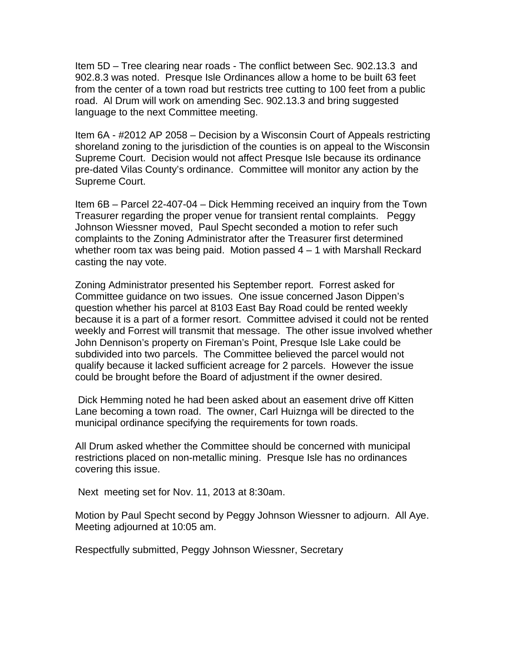Item 5D – Tree clearing near roads - The conflict between Sec. 902.13.3 and 902.8.3 was noted. Presque Isle Ordinances allow a home to be built 63 feet from the center of a town road but restricts tree cutting to 100 feet from a public road. Al Drum will work on amending Sec. 902.13.3 and bring suggested language to the next Committee meeting.

Item 6A - #2012 AP 2058 – Decision by a Wisconsin Court of Appeals restricting shoreland zoning to the jurisdiction of the counties is on appeal to the Wisconsin Supreme Court. Decision would not affect Presque Isle because its ordinance pre-dated Vilas County's ordinance. Committee will monitor any action by the Supreme Court.

Item 6B – Parcel 22-407-04 – Dick Hemming received an inquiry from the Town Treasurer regarding the proper venue for transient rental complaints. Peggy Johnson Wiessner moved, Paul Specht seconded a motion to refer such complaints to the Zoning Administrator after the Treasurer first determined whether room tax was being paid. Motion passed 4 – 1 with Marshall Reckard casting the nay vote.

Zoning Administrator presented his September report. Forrest asked for Committee guidance on two issues. One issue concerned Jason Dippen's question whether his parcel at 8103 East Bay Road could be rented weekly because it is a part of a former resort. Committee advised it could not be rented weekly and Forrest will transmit that message. The other issue involved whether John Dennison's property on Fireman's Point, Presque Isle Lake could be subdivided into two parcels. The Committee believed the parcel would not qualify because it lacked sufficient acreage for 2 parcels. However the issue could be brought before the Board of adjustment if the owner desired.

 Dick Hemming noted he had been asked about an easement drive off Kitten Lane becoming a town road. The owner, Carl Huiznga will be directed to the municipal ordinance specifying the requirements for town roads.

All Drum asked whether the Committee should be concerned with municipal restrictions placed on non-metallic mining. Presque Isle has no ordinances covering this issue.

Next meeting set for Nov. 11, 2013 at 8:30am.

Motion by Paul Specht second by Peggy Johnson Wiessner to adjourn. All Aye. Meeting adjourned at 10:05 am.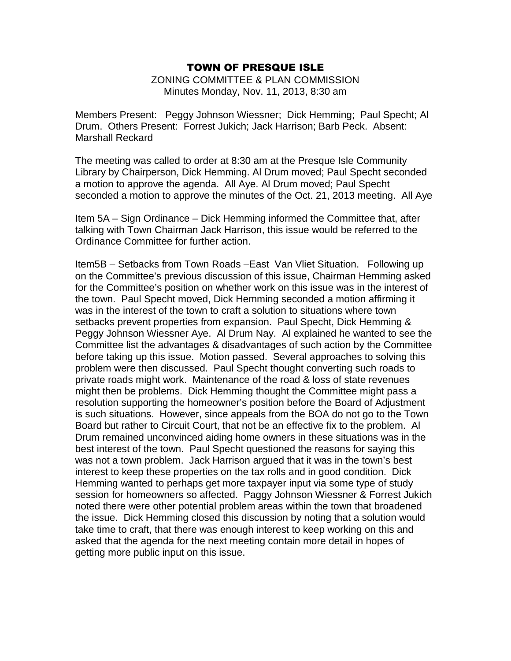ZONING COMMITTEE & PLAN COMMISSION Minutes Monday, Nov. 11, 2013, 8:30 am

Members Present: Peggy Johnson Wiessner; Dick Hemming; Paul Specht; Al Drum. Others Present: Forrest Jukich; Jack Harrison; Barb Peck. Absent: Marshall Reckard

The meeting was called to order at 8:30 am at the Presque Isle Community Library by Chairperson, Dick Hemming. Al Drum moved; Paul Specht seconded a motion to approve the agenda. All Aye. Al Drum moved; Paul Specht seconded a motion to approve the minutes of the Oct. 21, 2013 meeting. All Aye

Item 5A – Sign Ordinance – Dick Hemming informed the Committee that, after talking with Town Chairman Jack Harrison, this issue would be referred to the Ordinance Committee for further action.

Item5B – Setbacks from Town Roads –East Van Vliet Situation. Following up on the Committee's previous discussion of this issue, Chairman Hemming asked for the Committee's position on whether work on this issue was in the interest of the town. Paul Specht moved, Dick Hemming seconded a motion affirming it was in the interest of the town to craft a solution to situations where town setbacks prevent properties from expansion. Paul Specht, Dick Hemming & Peggy Johnson Wiessner Aye. Al Drum Nay. Al explained he wanted to see the Committee list the advantages & disadvantages of such action by the Committee before taking up this issue. Motion passed. Several approaches to solving this problem were then discussed. Paul Specht thought converting such roads to private roads might work. Maintenance of the road & loss of state revenues might then be problems. Dick Hemming thought the Committee might pass a resolution supporting the homeowner's position before the Board of Adjustment is such situations. However, since appeals from the BOA do not go to the Town Board but rather to Circuit Court, that not be an effective fix to the problem. Al Drum remained unconvinced aiding home owners in these situations was in the best interest of the town. Paul Specht questioned the reasons for saying this was not a town problem. Jack Harrison argued that it was in the town's best interest to keep these properties on the tax rolls and in good condition. Dick Hemming wanted to perhaps get more taxpayer input via some type of study session for homeowners so affected. Paggy Johnson Wiessner & Forrest Jukich noted there were other potential problem areas within the town that broadened the issue. Dick Hemming closed this discussion by noting that a solution would take time to craft, that there was enough interest to keep working on this and asked that the agenda for the next meeting contain more detail in hopes of getting more public input on this issue.